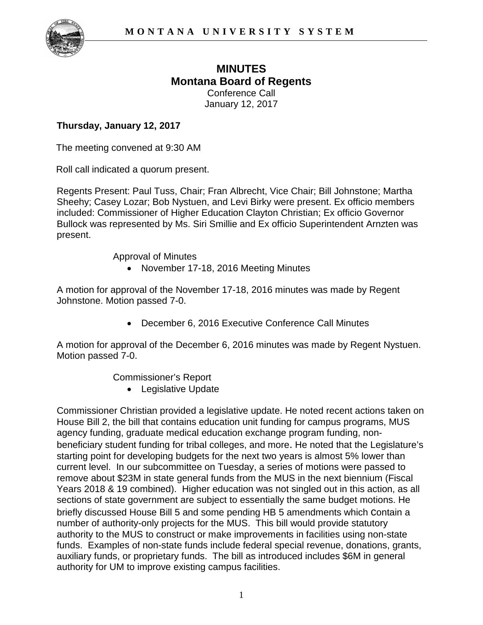

# **MINUTES Montana Board of Regents**

Conference Call January 12, 2017

## **Thursday, January 12, 2017**

The meeting convened at 9:30 AM

Roll call indicated a quorum present.

Regents Present: Paul Tuss, Chair; Fran Albrecht, Vice Chair; Bill Johnstone; Martha Sheehy; Casey Lozar; Bob Nystuen, and Levi Birky were present. Ex officio members included: Commissioner of Higher Education Clayton Christian; Ex officio Governor Bullock was represented by Ms. Siri Smillie and Ex officio Superintendent Arnzten was present.

Approval of Minutes

• November 17-18, 2016 Meeting Minutes

A motion for approval of the November 17-18, 2016 minutes was made by Regent Johnstone. Motion passed 7-0.

• December 6, 2016 Executive Conference Call Minutes

A motion for approval of the December 6, 2016 minutes was made by Regent Nystuen. Motion passed 7-0.

Commissioner's Report

• Legislative Update

Commissioner Christian provided a legislative update. He noted recent actions taken on House Bill 2, the bill that contains education unit funding for campus programs, MUS agency funding, graduate medical education exchange program funding, nonbeneficiary student funding for tribal colleges, and more. He noted that the Legislature's starting point for developing budgets for the next two years is almost 5% lower than current level. In our subcommittee on Tuesday, a series of motions were passed to remove about \$23M in state general funds from the MUS in the next biennium (Fiscal Years 2018 & 19 combined). Higher education was not singled out in this action, as all sections of state government are subject to essentially the same budget motions. He briefly discussed House Bill 5 and some pending HB 5 amendments which contain a number of authority-only projects for the MUS. This bill would provide statutory authority to the MUS to construct or make improvements in facilities using non-state funds. Examples of non-state funds include federal special revenue, donations, grants, auxiliary funds, or proprietary funds. The bill as introduced includes \$6M in general authority for UM to improve existing campus facilities.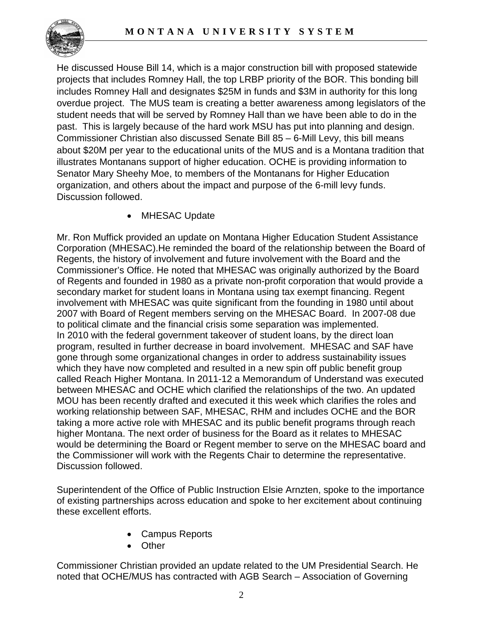

He discussed House Bill 14, which is a major construction bill with proposed statewide projects that includes Romney Hall, the top LRBP priority of the BOR. This bonding bill includes Romney Hall and designates \$25M in funds and \$3M in authority for this long overdue project. The MUS team is creating a better awareness among legislators of the student needs that will be served by Romney Hall than we have been able to do in the past. This is largely because of the hard work MSU has put into planning and design. Commissioner Christian also discussed Senate Bill 85 – 6-Mill Levy, this bill means about \$20M per year to the educational units of the MUS and is a Montana tradition that illustrates Montanans support of higher education. OCHE is providing information to Senator Mary Sheehy Moe, to members of the Montanans for Higher Education organization, and others about the impact and purpose of the 6-mill levy funds. Discussion followed.

• MHESAC Update

Mr. Ron Muffick provided an update on Montana Higher Education Student Assistance Corporation (MHESAC).He reminded the board of the relationship between the Board of Regents, the history of involvement and future involvement with the Board and the Commissioner's Office. He noted that MHESAC was originally authorized by the Board of Regents and founded in 1980 as a private non-profit corporation that would provide a secondary market for student loans in Montana using tax exempt financing. Regent involvement with MHESAC was quite significant from the founding in 1980 until about 2007 with Board of Regent members serving on the MHESAC Board. In 2007-08 due to political climate and the financial crisis some separation was implemented. In 2010 with the federal government takeover of student loans, by the direct loan program, resulted in further decrease in board involvement. MHESAC and SAF have gone through some organizational changes in order to address sustainability issues which they have now completed and resulted in a new spin off public benefit group called Reach Higher Montana. In 2011-12 a Memorandum of Understand was executed between MHESAC and OCHE which clarified the relationships of the two. An updated MOU has been recently drafted and executed it this week which clarifies the roles and working relationship between SAF, MHESAC, RHM and includes OCHE and the BOR taking a more active role with MHESAC and its public benefit programs through reach higher Montana. The next order of business for the Board as it relates to MHESAC would be determining the Board or Regent member to serve on the MHESAC board and the Commissioner will work with the Regents Chair to determine the representative. Discussion followed.

Superintendent of the Office of Public Instruction Elsie Arnzten, spoke to the importance of existing partnerships across education and spoke to her excitement about continuing these excellent efforts.

- Campus Reports
- Other

Commissioner Christian provided an update related to the UM Presidential Search. He noted that OCHE/MUS has contracted with AGB Search – Association of Governing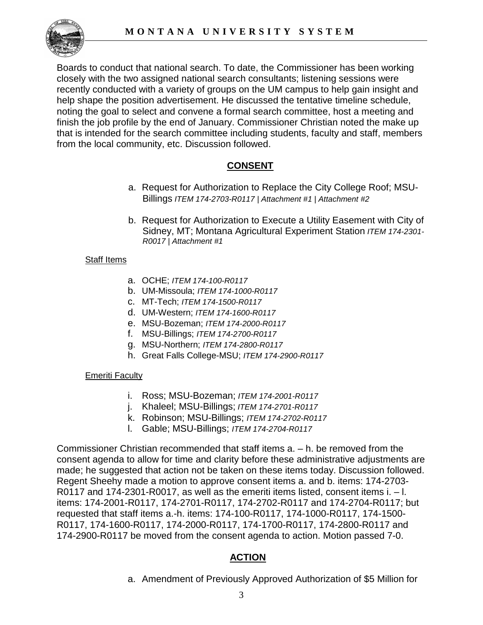

Boards to conduct that national search. To date, the Commissioner has been working closely with the two assigned national search consultants; listening sessions were recently conducted with a variety of groups on the UM campus to help gain insight and help shape the position advertisement. He discussed the tentative timeline schedule, noting the goal to select and convene a formal search committee, host a meeting and finish the job profile by the end of January. Commissioner Christian noted the make up that is intended for the search committee including students, faculty and staff, members from the local community, etc. Discussion followed.

# **CONSENT**

- a. Request for Authorization to Replace the City College Roof; MSU-Billings *ITEM 174-2703-R0117 | Attachment #1 | Attachment #2*
- b. Request for Authorization to Execute a Utility Easement with City of Sidney, MT; Montana Agricultural Experiment Station *ITEM 174-2301- R0017 | Attachment #1*

#### **Staff Items**

- a. OCHE; *ITEM 174-100-R0117*
- b. UM-Missoula; *ITEM 174-1000-R0117*
- c. MT-Tech; *ITEM 174-1500-R0117*
- d. UM-Western; *ITEM 174-1600-R0117*
- e. MSU-Bozeman; *ITEM 174-2000-R0117*
- f. MSU-Billings; *ITEM 174-2700-R0117*
- g. MSU-Northern; *ITEM 174-2800-R0117*
- h. Great Falls College-MSU; *ITEM 174-2900-R0117*

#### Emeriti Faculty

- i. Ross; MSU-Bozeman; *ITEM 174-2001-R0117*
- j. Khaleel; MSU-Billings; *ITEM 174-2701-R0117*
- k. Robinson; MSU-Billings; *ITEM 174-2702-R0117*
- l. Gable; MSU-Billings; *ITEM 174-2704-R0117*

Commissioner Christian recommended that staff items a. – h. be removed from the consent agenda to allow for time and clarity before these administrative adjustments are made; he suggested that action not be taken on these items today. Discussion followed. Regent Sheehy made a motion to approve consent items a. and b. items: 174-2703- R0117 and 174-2301-R0017, as well as the emeriti items listed, consent items i. – l. items: 174-2001-R0117, 174-2701-R0117, 174-2702-R0117 and 174-2704-R0117; but requested that staff items a.-h. items: 174-100-R0117, 174-1000-R0117, 174-1500- R0117, 174-1600-R0117, 174-2000-R0117, 174-1700-R0117, 174-2800-R0117 and 174-2900-R0117 be moved from the consent agenda to action. Motion passed 7-0.

# **ACTION**

a. Amendment of Previously Approved Authorization of \$5 Million for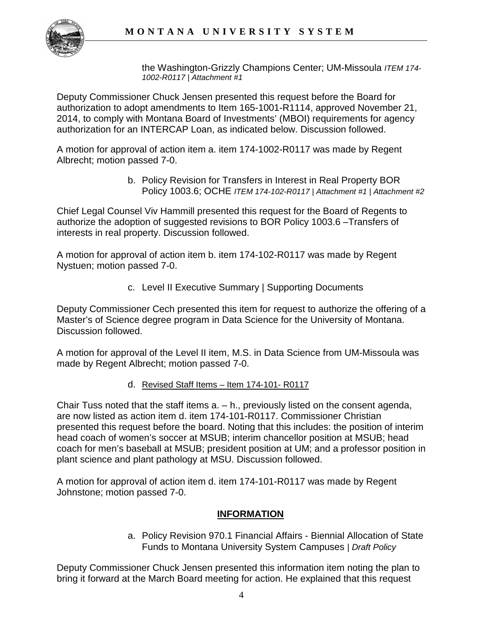

the Washington-Grizzly Champions Center; UM-Missoula *ITEM 174- 1002-R0117 | Attachment #1* 

Deputy Commissioner Chuck Jensen presented this request before the Board for authorization to adopt amendments to Item 165-1001-R1114, approved November 21, 2014, to comply with Montana Board of Investments' (MBOI) requirements for agency authorization for an INTERCAP Loan, as indicated below. Discussion followed.

A motion for approval of action item a. item 174-1002-R0117 was made by Regent Albrecht; motion passed 7-0.

> b. Policy Revision for Transfers in Interest in Real Property BOR Policy 1003.6; OCHE *ITEM 174-102-R0117 | Attachment #1 | Attachment #2*

Chief Legal Counsel Viv Hammill presented this request for the Board of Regents to authorize the adoption of suggested revisions to BOR Policy 1003.6 –Transfers of interests in real property. Discussion followed.

A motion for approval of action item b. item 174-102-R0117 was made by Regent Nystuen; motion passed 7-0.

c. Level II Executive Summary | Supporting Documents

Deputy Commissioner Cech presented this item for request to authorize the offering of a Master's of Science degree program in Data Science for the University of Montana. Discussion followed.

A motion for approval of the Level II item, M.S. in Data Science from UM-Missoula was made by Regent Albrecht; motion passed 7-0.

d. Revised Staff Items – Item 174-101- R0117

Chair Tuss noted that the staff items a. – h., previously listed on the consent agenda, are now listed as action item d. item 174-101-R0117. Commissioner Christian presented this request before the board. Noting that this includes: the position of interim head coach of women's soccer at MSUB; interim chancellor position at MSUB; head coach for men's baseball at MSUB; president position at UM; and a professor position in plant science and plant pathology at MSU. Discussion followed.

A motion for approval of action item d. item 174-101-R0117 was made by Regent Johnstone; motion passed 7-0.

# **INFORMATION**

a. Policy Revision 970.1 Financial Affairs - Biennial Allocation of State Funds to Montana University System Campuses *| Draft Policy*

Deputy Commissioner Chuck Jensen presented this information item noting the plan to bring it forward at the March Board meeting for action. He explained that this request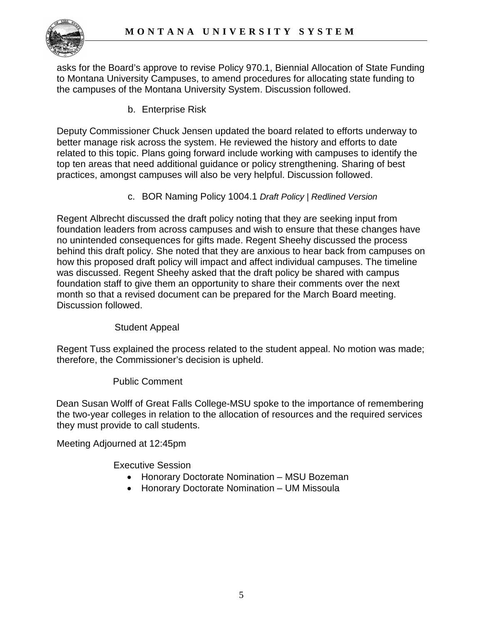

asks for the Board's approve to revise Policy 970.1, Biennial Allocation of State Funding to Montana University Campuses, to amend procedures for allocating state funding to the campuses of the Montana University System. Discussion followed.

b. Enterprise Risk

Deputy Commissioner Chuck Jensen updated the board related to efforts underway to better manage risk across the system. He reviewed the history and efforts to date related to this topic. Plans going forward include working with campuses to identify the top ten areas that need additional guidance or policy strengthening. Sharing of best practices, amongst campuses will also be very helpful. Discussion followed.

c. BOR Naming Policy 1004.1 *Draft Policy | Redlined Version*

Regent Albrecht discussed the draft policy noting that they are seeking input from foundation leaders from across campuses and wish to ensure that these changes have no unintended consequences for gifts made. Regent Sheehy discussed the process behind this draft policy. She noted that they are anxious to hear back from campuses on how this proposed draft policy will impact and affect individual campuses. The timeline was discussed. Regent Sheehy asked that the draft policy be shared with campus foundation staff to give them an opportunity to share their comments over the next month so that a revised document can be prepared for the March Board meeting. Discussion followed.

### Student Appeal

Regent Tuss explained the process related to the student appeal. No motion was made; therefore, the Commissioner's decision is upheld.

### Public Comment

Dean Susan Wolff of Great Falls College-MSU spoke to the importance of remembering the two-year colleges in relation to the allocation of resources and the required services they must provide to call students.

Meeting Adjourned at 12:45pm

Executive Session

- Honorary Doctorate Nomination MSU Bozeman
- Honorary Doctorate Nomination UM Missoula